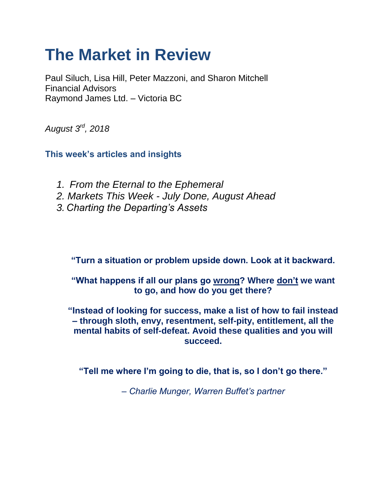# **The Market in Review**

Paul Siluch, Lisa Hill, Peter Mazzoni, and Sharon Mitchell Financial Advisors Raymond James Ltd. – Victoria BC

*August 3rd, 2018*

**This week's articles and insights**

- *1. From the Eternal to the Ephemeral 2. Markets This Week - July Done, August Ahead*
- *3. Charting the Departing's Assets*

**"Turn a situation or problem upside down. Look at it backward.** 

**"What happens if all our plans go wrong? Where don't we want to go, and how do you get there?** 

**"Instead of looking for success, make a list of how to fail instead – through sloth, envy, resentment, self-pity, entitlement, all the mental habits of self-defeat. Avoid these qualities and you will succeed.** 

**"Tell me where I'm going to die, that is, so I don't go there."**

*– Charlie Munger, Warren Buffet's partner*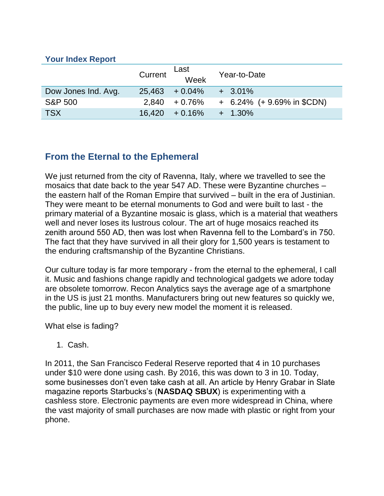#### **Your Index Report**

|                     | Current | Last<br>Week               | Year-to-Date                    |
|---------------------|---------|----------------------------|---------------------------------|
| Dow Jones Ind. Avg. |         | $25,463 + 0.04\% + 3.01\%$ |                                 |
| <b>S&amp;P 500</b>  |         | $2,840 + 0.76\%$           | $+$ 6.24% ( $+$ 9.69% in \$CDN) |
| <b>TSX</b>          |         | $16,420 + 0.16\%$          | $+ 1.30\%$                      |

# **From the Eternal to the Ephemeral**

We just returned from the city of Ravenna, Italy, where we travelled to see the mosaics that date back to the year 547 AD. These were Byzantine churches – the eastern half of the Roman Empire that survived – built in the era of Justinian. They were meant to be eternal monuments to God and were built to last - the primary material of a Byzantine mosaic is glass, which is a material that weathers well and never loses its lustrous colour. The art of huge mosaics reached its zenith around 550 AD, then was lost when Ravenna fell to the Lombard's in 750. The fact that they have survived in all their glory for 1,500 years is testament to the enduring craftsmanship of the Byzantine Christians.

Our culture today is far more temporary - from the eternal to the ephemeral, I call it. Music and fashions change rapidly and technological gadgets we adore today are obsolete tomorrow. Recon Analytics says the average age of a smartphone in the US is just 21 months. Manufacturers bring out new features so quickly we, the public, line up to buy every new model the moment it is released.

What else is fading?

1. Cash.

In 2011, the San Francisco Federal Reserve reported that 4 in 10 purchases under \$10 were done using cash. By 2016, this was down to 3 in 10. Today, some businesses don't even take cash at all. An article by Henry Grabar in Slate magazine reports Starbucks's (**NASDAQ SBUX**) is experimenting with a cashless store. Electronic payments are even more widespread in China, where the vast majority of small purchases are now made with plastic or right from your phone.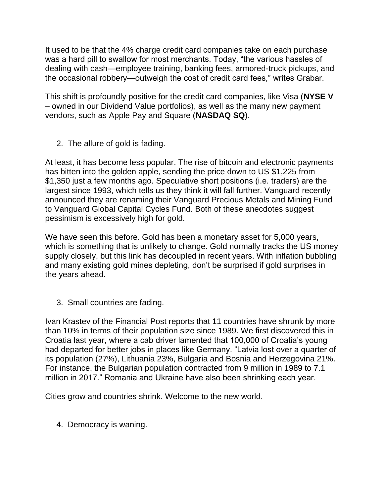It used to be that the 4% charge credit card companies take on each purchase was a hard pill to swallow for most merchants. Today, "the various hassles of dealing with cash—employee training, banking fees, armored-truck pickups, and the occasional robbery—outweigh the cost of credit card fees," writes Grabar.

This shift is profoundly positive for the credit card companies, like Visa (**NYSE V**  – owned in our Dividend Value portfolios), as well as the many new payment vendors, such as Apple Pay and Square (**NASDAQ SQ**).

2. The allure of gold is fading.

At least, it has become less popular. The rise of bitcoin and electronic payments has bitten into the golden apple, sending the price down to US \$1,225 from \$1,350 just a few months ago. Speculative short positions (i.e. traders) are the largest since 1993, which tells us they think it will fall further. Vanguard recently announced they are renaming their Vanguard Precious Metals and Mining Fund to Vanguard Global Capital Cycles Fund. Both of these anecdotes suggest pessimism is excessively high for gold.

We have seen this before. Gold has been a monetary asset for 5,000 years, which is something that is unlikely to change. Gold normally tracks the US money supply closely, but this link has decoupled in recent years. With inflation bubbling and many existing gold mines depleting, don't be surprised if gold surprises in the years ahead.

3. Small countries are fading.

Ivan Krastev of the Financial Post reports that 11 countries have shrunk by more than 10% in terms of their population size since 1989. We first discovered this in Croatia last year, where a cab driver lamented that 100,000 of Croatia's young had departed for better jobs in places like Germany. "Latvia lost over a quarter of its population (27%), Lithuania 23%, Bulgaria and Bosnia and Herzegovina 21%. For instance, the Bulgarian population contracted from 9 million in 1989 to 7.1 million in 2017." Romania and Ukraine have also been shrinking each year.

Cities grow and countries shrink. Welcome to the new world.

4. Democracy is waning.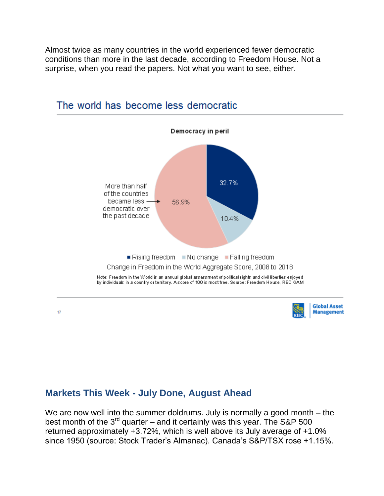Almost twice as many countries in the world experienced fewer democratic conditions than more in the last decade, according to Freedom House. Not a surprise, when you read the papers. Not what you want to see, either.



## The world has become less democratic

## **Markets This Week - July Done, August Ahead**

We are now well into the summer doldrums. July is normally a good month – the best month of the  $3<sup>rd</sup>$  quarter – and it certainly was this year. The S&P 500 returned approximately +3.72%, which is well above its July average of +1.0% since 1950 (source: Stock Trader's Almanac). Canada's S&P/TSX rose +1.15%.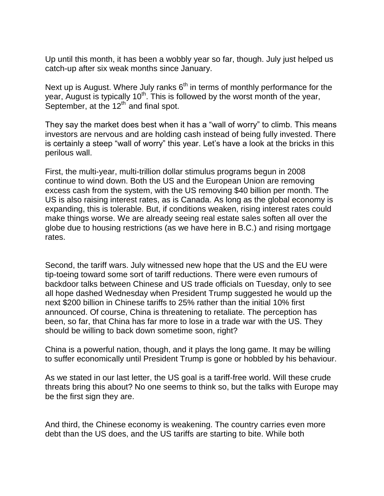Up until this month, it has been a wobbly year so far, though. July just helped us catch-up after six weak months since January.

Next up is August. Where July ranks  $6<sup>th</sup>$  in terms of monthly performance for the year, August is typically  $10<sup>th</sup>$ . This is followed by the worst month of the year, September, at the  $12<sup>th</sup>$  and final spot.

They say the market does best when it has a "wall of worry" to climb. This means investors are nervous and are holding cash instead of being fully invested. There is certainly a steep "wall of worry" this year. Let's have a look at the bricks in this perilous wall.

First, the multi-year, multi-trillion dollar stimulus programs begun in 2008 continue to wind down. Both the US and the European Union are removing excess cash from the system, with the US removing \$40 billion per month. The US is also raising interest rates, as is Canada. As long as the global economy is expanding, this is tolerable. But, if conditions weaken, rising interest rates could make things worse. We are already seeing real estate sales soften all over the globe due to housing restrictions (as we have here in B.C.) and rising mortgage rates.

Second, the tariff wars. July witnessed new hope that the US and the EU were tip-toeing toward some sort of tariff reductions. There were even rumours of backdoor talks between Chinese and US trade officials on Tuesday, only to see all hope dashed Wednesday when President Trump suggested he would up the next \$200 billion in Chinese tariffs to 25% rather than the initial 10% first announced. Of course, China is threatening to retaliate. The perception has been, so far, that China has far more to lose in a trade war with the US. They should be willing to back down sometime soon, right?

China is a powerful nation, though, and it plays the long game. It may be willing to suffer economically until President Trump is gone or hobbled by his behaviour.

As we stated in our last letter, the US goal is a tariff-free world. Will these crude threats bring this about? No one seems to think so, but the talks with Europe may be the first sign they are.

And third, the Chinese economy is weakening. The country carries even more debt than the US does, and the US tariffs are starting to bite. While both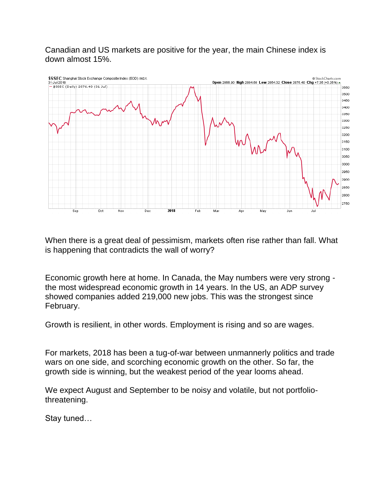Canadian and US markets are positive for the year, the main Chinese index is down almost 15%.



When there is a great deal of pessimism, markets often rise rather than fall. What is happening that contradicts the wall of worry?

Economic growth here at home. In Canada, the May numbers were very strong the most widespread economic growth in 14 years. In the US, an ADP survey showed companies added 219,000 new jobs. This was the strongest since February.

Growth is resilient, in other words. Employment is rising and so are wages.

For markets, 2018 has been a tug-of-war between unmannerly politics and trade wars on one side, and scorching economic growth on the other. So far, the growth side is winning, but the weakest period of the year looms ahead.

We expect August and September to be noisy and volatile, but not portfoliothreatening.

Stay tuned…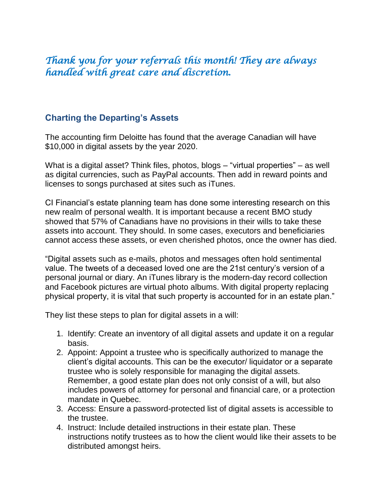# *Thank you for your referrals this month! They are always handled with great care and discretion.*

### **Charting the Departing's Assets**

The accounting firm Deloitte has found that the average Canadian will have \$10,000 in digital assets by the year 2020.

What is a digital asset? Think files, photos, blogs – "virtual properties" – as well as digital currencies, such as PayPal accounts. Then add in reward points and licenses to songs purchased at sites such as iTunes.

CI Financial's estate planning team has done some interesting research on this new realm of personal wealth. It is important because a recent BMO study showed that 57% of Canadians have no provisions in their wills to take these assets into account. They should. In some cases, executors and beneficiaries cannot access these assets, or even cherished photos, once the owner has died.

"Digital assets such as e-mails, photos and messages often hold sentimental value. The tweets of a deceased loved one are the 21st century's version of a personal journal or diary. An iTunes library is the modern-day record collection and Facebook pictures are virtual photo albums. With digital property replacing physical property, it is vital that such property is accounted for in an estate plan."

They list these steps to plan for digital assets in a will:

- 1. Identify: Create an inventory of all digital assets and update it on a regular basis.
- 2. Appoint: Appoint a trustee who is specifically authorized to manage the client's digital accounts. This can be the executor/ liquidator or a separate trustee who is solely responsible for managing the digital assets. Remember, a good estate plan does not only consist of a will, but also includes powers of attorney for personal and financial care, or a protection mandate in Quebec.
- 3. Access: Ensure a password-protected list of digital assets is accessible to the trustee.
- 4. Instruct: Include detailed instructions in their estate plan. These instructions notify trustees as to how the client would like their assets to be distributed amongst heirs.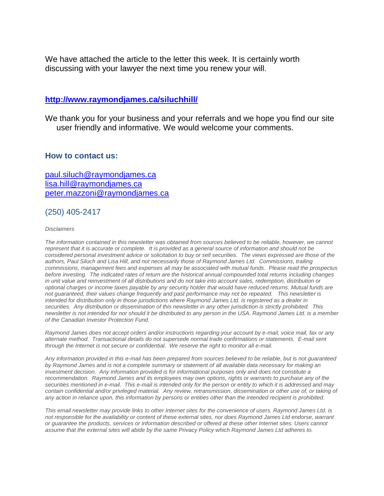We have attached the article to the letter this week. It is certainly worth discussing with your lawyer the next time you renew your will.

#### **<http://www.raymondjames.ca/siluchhill/>**

We thank you for your business and your referrals and we hope you find our site user friendly and informative. We would welcome your comments.

#### **How to contact us:**

[paul.siluch@raymondjames.ca](https://owa-kel.raymondjames.ca/owa/redir.aspx?SURL=z0BxOCXDlQ-Aad1f_a9igaARxm5Rd1VXE7UcmD4mZ3IZiacj7DPTCG0AYQBpAGwAdABvADoAcABhAHUAbAAuAHMAaQBsAHUAYwBoAEAAcgBhAHkAbQBvAG4AZABqAGEAbQBlAHMALgBjAGEA&URL=mailto%3apaul.siluch%40raymondjames.ca) [lisa.hill@raymondjames.ca](https://owa-kel.raymondjames.ca/owa/redir.aspx?SURL=glaBgdTdxPMFpiw4eumg-PzZXpo9vJyObrXLs1TKtIAZiacj7DPTCG0AYQBpAGwAdABvADoAbABpAHMAYQAuAGgAaQBsAGwAQAByAGEAeQBtAG8AbgBkAGoAYQBtAGUAcwAuAGMAYQA.&URL=mailto%3alisa.hill%40raymondjames.ca) [peter.mazzoni@raymondjames.ca](https://owa-kel.raymondjames.ca/owa/redir.aspx?SURL=3c7mDL9-cZxYXt7CvkOu20QVFy1WCaDQxUZ3BQE6vecZiacj7DPTCG0AYQBpAGwAdABvADoAcABlAHQAZQByAC4AbQBhAHoAegBvAG4AaQBAAHIAYQB5AG0AbwBuAGQAagBhAG0AZQBzAC4AYwBhAA..&URL=mailto%3apeter.mazzoni%40raymondjames.ca)

#### (250) 405-2417

#### *Disclaimers*

*[The information contained in this newsletter was obtained from sources believed to be](https://owa-kel.raymondjames.ca/owa/redir.aspx?SURL=z0BxOCXDlQ-Aad1f_a9igaARxm5Rd1VXE7UcmD4mZ3IZiacj7DPTCG0AYQBpAGwAdABvADoAcABhAHUAbAAuAHMAaQBsAHUAYwBoAEAAcgBhAHkAbQBvAG4AZABqAGEAbQBlAHMALgBjAGEA&URL=mailto%3apaul.siluch%40raymondjames.ca) reliable, however, we cannot represent that it is accurate or complete. [It is provided as a general source of information and should not be](https://owa-kel.raymondjames.ca/owa/redir.aspx?SURL=z0BxOCXDlQ-Aad1f_a9igaARxm5Rd1VXE7UcmD4mZ3IZiacj7DPTCG0AYQBpAGwAdABvADoAcABhAHUAbAAuAHMAaQBsAHUAYwBoAEAAcgBhAHkAbQBvAG4AZABqAGEAbQBlAHMALgBjAGEA&URL=mailto%3apaul.siluch%40raymondjames.ca)  [considered personal investment advice or solicitation to buy or sell securities.](https://owa-kel.raymondjames.ca/owa/redir.aspx?SURL=z0BxOCXDlQ-Aad1f_a9igaARxm5Rd1VXE7UcmD4mZ3IZiacj7DPTCG0AYQBpAGwAdABvADoAcABhAHUAbAAuAHMAaQBsAHUAYwBoAEAAcgBhAHkAbQBvAG4AZABqAGEAbQBlAHMALgBjAGEA&URL=mailto%3apaul.siluch%40raymondjames.ca) The views expressed are those of the [authors, Paul Siluch and Lisa Hill, and not necessarily those of Raymond James Ltd.](https://owa-kel.raymondjames.ca/owa/redir.aspx?SURL=z0BxOCXDlQ-Aad1f_a9igaARxm5Rd1VXE7UcmD4mZ3IZiacj7DPTCG0AYQBpAGwAdABvADoAcABhAHUAbAAuAHMAaQBsAHUAYwBoAEAAcgBhAHkAbQBvAG4AZABqAGEAbQBlAHMALgBjAGEA&URL=mailto%3apaul.siluch%40raymondjames.ca) Commissions, trailing [commissions, management fees and expenses all may be associated with mutual funds.](https://owa-kel.raymondjames.ca/owa/redir.aspx?SURL=z0BxOCXDlQ-Aad1f_a9igaARxm5Rd1VXE7UcmD4mZ3IZiacj7DPTCG0AYQBpAGwAdABvADoAcABhAHUAbAAuAHMAaQBsAHUAYwBoAEAAcgBhAHkAbQBvAG4AZABqAGEAbQBlAHMALgBjAGEA&URL=mailto%3apaul.siluch%40raymondjames.ca) Please read the prospectus before investing. [The indicated rates of return are the historical annual compounded total returns including changes](https://owa-kel.raymondjames.ca/owa/redir.aspx?SURL=z0BxOCXDlQ-Aad1f_a9igaARxm5Rd1VXE7UcmD4mZ3IZiacj7DPTCG0AYQBpAGwAdABvADoAcABhAHUAbAAuAHMAaQBsAHUAYwBoAEAAcgBhAHkAbQBvAG4AZABqAGEAbQBlAHMALgBjAGEA&URL=mailto%3apaul.siluch%40raymondjames.ca)  [in unit value and reinvestment of all distributions and do not take into account sales, redemption, distribution or](https://owa-kel.raymondjames.ca/owa/redir.aspx?SURL=z0BxOCXDlQ-Aad1f_a9igaARxm5Rd1VXE7UcmD4mZ3IZiacj7DPTCG0AYQBpAGwAdABvADoAcABhAHUAbAAuAHMAaQBsAHUAYwBoAEAAcgBhAHkAbQBvAG4AZABqAGEAbQBlAHMALgBjAGEA&URL=mailto%3apaul.siluch%40raymondjames.ca)  [optional charges or income taxes payable by any security holder that would have reduced returns. Mutual funds are](https://owa-kel.raymondjames.ca/owa/redir.aspx?SURL=z0BxOCXDlQ-Aad1f_a9igaARxm5Rd1VXE7UcmD4mZ3IZiacj7DPTCG0AYQBpAGwAdABvADoAcABhAHUAbAAuAHMAaQBsAHUAYwBoAEAAcgBhAHkAbQBvAG4AZABqAGEAbQBlAHMALgBjAGEA&URL=mailto%3apaul.siluch%40raymondjames.ca)  [not guaranteed, their values change frequently and past performance may not be repeated.](https://owa-kel.raymondjames.ca/owa/redir.aspx?SURL=z0BxOCXDlQ-Aad1f_a9igaARxm5Rd1VXE7UcmD4mZ3IZiacj7DPTCG0AYQBpAGwAdABvADoAcABhAHUAbAAuAHMAaQBsAHUAYwBoAEAAcgBhAHkAbQBvAG4AZABqAGEAbQBlAHMALgBjAGEA&URL=mailto%3apaul.siluch%40raymondjames.ca) This newsletter is [intended for distribution only in those jurisdictions where Raymond James Ltd. is registered as a dealer in](https://owa-kel.raymondjames.ca/owa/redir.aspx?SURL=z0BxOCXDlQ-Aad1f_a9igaARxm5Rd1VXE7UcmD4mZ3IZiacj7DPTCG0AYQBpAGwAdABvADoAcABhAHUAbAAuAHMAaQBsAHUAYwBoAEAAcgBhAHkAbQBvAG4AZABqAGEAbQBlAHMALgBjAGEA&URL=mailto%3apaul.siluch%40raymondjames.ca)  securities. [Any distribution or dissemination of this newsletter in any other jurisdiction is strictly prohibited.](https://owa-kel.raymondjames.ca/owa/redir.aspx?SURL=z0BxOCXDlQ-Aad1f_a9igaARxm5Rd1VXE7UcmD4mZ3IZiacj7DPTCG0AYQBpAGwAdABvADoAcABhAHUAbAAuAHMAaQBsAHUAYwBoAEAAcgBhAHkAbQBvAG4AZABqAGEAbQBlAHMALgBjAGEA&URL=mailto%3apaul.siluch%40raymondjames.ca) This [newsletter is not intended for nor should it be distributed to any person in the USA. Raymond James Ltd. is a member](https://owa-kel.raymondjames.ca/owa/redir.aspx?SURL=z0BxOCXDlQ-Aad1f_a9igaARxm5Rd1VXE7UcmD4mZ3IZiacj7DPTCG0AYQBpAGwAdABvADoAcABhAHUAbAAuAHMAaQBsAHUAYwBoAEAAcgBhAHkAbQBvAG4AZABqAGEAbQBlAHMALgBjAGEA&URL=mailto%3apaul.siluch%40raymondjames.ca)  [of the Canadian Investor Protection Fund.](https://owa-kel.raymondjames.ca/owa/redir.aspx?SURL=z0BxOCXDlQ-Aad1f_a9igaARxm5Rd1VXE7UcmD4mZ3IZiacj7DPTCG0AYQBpAGwAdABvADoAcABhAHUAbAAuAHMAaQBsAHUAYwBoAEAAcgBhAHkAbQBvAG4AZABqAGEAbQBlAHMALgBjAGEA&URL=mailto%3apaul.siluch%40raymondjames.ca)* 

*Raymond James [does not accept orders and/or instructions regarding your account by e-mail, voice mail, fax or any](https://owa-kel.raymondjames.ca/owa/redir.aspx?SURL=z0BxOCXDlQ-Aad1f_a9igaARxm5Rd1VXE7UcmD4mZ3IZiacj7DPTCG0AYQBpAGwAdABvADoAcABhAHUAbAAuAHMAaQBsAHUAYwBoAEAAcgBhAHkAbQBvAG4AZABqAGEAbQBlAHMALgBjAGEA&URL=mailto%3apaul.siluch%40raymondjames.ca)  alternate method. [Transactional details do not supersede normal trade confirmations or statements.](https://owa-kel.raymondjames.ca/owa/redir.aspx?SURL=z0BxOCXDlQ-Aad1f_a9igaARxm5Rd1VXE7UcmD4mZ3IZiacj7DPTCG0AYQBpAGwAdABvADoAcABhAHUAbAAuAHMAaQBsAHUAYwBoAEAAcgBhAHkAbQBvAG4AZABqAGEAbQBlAHMALgBjAGEA&URL=mailto%3apaul.siluch%40raymondjames.ca) E-mail sent [through the Internet is not secure or confidential.](https://owa-kel.raymondjames.ca/owa/redir.aspx?SURL=z0BxOCXDlQ-Aad1f_a9igaARxm5Rd1VXE7UcmD4mZ3IZiacj7DPTCG0AYQBpAGwAdABvADoAcABhAHUAbAAuAHMAaQBsAHUAYwBoAEAAcgBhAHkAbQBvAG4AZABqAGEAbQBlAHMALgBjAGEA&URL=mailto%3apaul.siluch%40raymondjames.ca) We reserve the right to monitor all e-mail.*

*[Any information provided in this e-mail has been prepared from sources believed to be reliable, but is not guaranteed](https://owa-kel.raymondjames.ca/owa/redir.aspx?SURL=z0BxOCXDlQ-Aad1f_a9igaARxm5Rd1VXE7UcmD4mZ3IZiacj7DPTCG0AYQBpAGwAdABvADoAcABhAHUAbAAuAHMAaQBsAHUAYwBoAEAAcgBhAHkAbQBvAG4AZABqAGEAbQBlAHMALgBjAGEA&URL=mailto%3apaul.siluch%40raymondjames.ca)  by Raymond James [and is not a complete summary or statement of all available data necessary for making an](https://owa-kel.raymondjames.ca/owa/redir.aspx?SURL=z0BxOCXDlQ-Aad1f_a9igaARxm5Rd1VXE7UcmD4mZ3IZiacj7DPTCG0AYQBpAGwAdABvADoAcABhAHUAbAAuAHMAaQBsAHUAYwBoAEAAcgBhAHkAbQBvAG4AZABqAGEAbQBlAHMALgBjAGEA&URL=mailto%3apaul.siluch%40raymondjames.ca)  investment decision. [Any information provided is for informational purposes only and does not constitute a](https://owa-kel.raymondjames.ca/owa/redir.aspx?SURL=z0BxOCXDlQ-Aad1f_a9igaARxm5Rd1VXE7UcmD4mZ3IZiacj7DPTCG0AYQBpAGwAdABvADoAcABhAHUAbAAuAHMAaQBsAHUAYwBoAEAAcgBhAHkAbQBvAG4AZABqAGEAbQBlAHMALgBjAGEA&URL=mailto%3apaul.siluch%40raymondjames.ca)  recommendation. Raymond James [and its employees may own options, rights or warrants to purchase any of the](https://owa-kel.raymondjames.ca/owa/redir.aspx?SURL=z0BxOCXDlQ-Aad1f_a9igaARxm5Rd1VXE7UcmD4mZ3IZiacj7DPTCG0AYQBpAGwAdABvADoAcABhAHUAbAAuAHMAaQBsAHUAYwBoAEAAcgBhAHkAbQBvAG4AZABqAGEAbQBlAHMALgBjAGEA&URL=mailto%3apaul.siluch%40raymondjames.ca)  securities mentioned in e-mail. [This e-mail is intended only for the person or entity to which it is addressed and may](https://owa-kel.raymondjames.ca/owa/redir.aspx?SURL=z0BxOCXDlQ-Aad1f_a9igaARxm5Rd1VXE7UcmD4mZ3IZiacj7DPTCG0AYQBpAGwAdABvADoAcABhAHUAbAAuAHMAaQBsAHUAYwBoAEAAcgBhAHkAbQBvAG4AZABqAGEAbQBlAHMALgBjAGEA&URL=mailto%3apaul.siluch%40raymondjames.ca)  contain confidential and/or privileged material. [Any review, retransmission, dissemination or other use of, or taking of](https://owa-kel.raymondjames.ca/owa/redir.aspx?SURL=z0BxOCXDlQ-Aad1f_a9igaARxm5Rd1VXE7UcmD4mZ3IZiacj7DPTCG0AYQBpAGwAdABvADoAcABhAHUAbAAuAHMAaQBsAHUAYwBoAEAAcgBhAHkAbQBvAG4AZABqAGEAbQBlAHMALgBjAGEA&URL=mailto%3apaul.siluch%40raymondjames.ca)  [any action in reliance upon, this information by persons or entities other than the intended recipient is prohibited.](https://owa-kel.raymondjames.ca/owa/redir.aspx?SURL=z0BxOCXDlQ-Aad1f_a9igaARxm5Rd1VXE7UcmD4mZ3IZiacj7DPTCG0AYQBpAGwAdABvADoAcABhAHUAbAAuAHMAaQBsAHUAYwBoAEAAcgBhAHkAbQBvAG4AZABqAGEAbQBlAHMALgBjAGEA&URL=mailto%3apaul.siluch%40raymondjames.ca)*

*This email newsletter may provide links to other Internet sites for the convenience of users. Raymond James Ltd. is not responsible for the availability or content of these external sites, nor does Raymond James Ltd endorse, warrant or guarantee the products, services or information described or offered at these other Internet sites. Users cannot assume that the external sites will abide by the same Privacy Policy which Raymond James Ltd adheres to.*